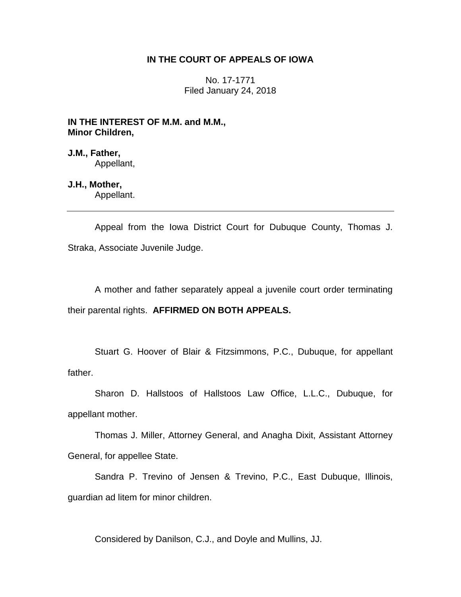# **IN THE COURT OF APPEALS OF IOWA**

No. 17-1771 Filed January 24, 2018

**IN THE INTEREST OF M.M. and M.M., Minor Children,**

**J.M., Father,** Appellant,

# **J.H., Mother,**

Appellant.

Appeal from the Iowa District Court for Dubuque County, Thomas J. Straka, Associate Juvenile Judge.

A mother and father separately appeal a juvenile court order terminating their parental rights. **AFFIRMED ON BOTH APPEALS.** 

Stuart G. Hoover of Blair & Fitzsimmons, P.C., Dubuque, for appellant father.

Sharon D. Hallstoos of Hallstoos Law Office, L.L.C., Dubuque, for appellant mother.

Thomas J. Miller, Attorney General, and Anagha Dixit, Assistant Attorney General, for appellee State.

Sandra P. Trevino of Jensen & Trevino, P.C., East Dubuque, Illinois, guardian ad litem for minor children.

Considered by Danilson, C.J., and Doyle and Mullins, JJ.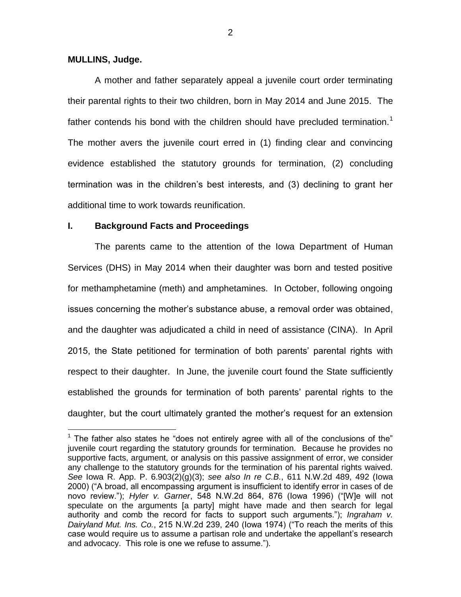## **MULLINS, Judge.**

 $\overline{a}$ 

A mother and father separately appeal a juvenile court order terminating their parental rights to their two children, born in May 2014 and June 2015. The father contends his bond with the children should have precluded termination.<sup>1</sup> The mother avers the juvenile court erred in (1) finding clear and convincing evidence established the statutory grounds for termination, (2) concluding termination was in the children's best interests, and (3) declining to grant her additional time to work towards reunification.

## **I. Background Facts and Proceedings**

The parents came to the attention of the Iowa Department of Human Services (DHS) in May 2014 when their daughter was born and tested positive for methamphetamine (meth) and amphetamines. In October, following ongoing issues concerning the mother's substance abuse, a removal order was obtained, and the daughter was adjudicated a child in need of assistance (CINA). In April 2015, the State petitioned for termination of both parents' parental rights with respect to their daughter. In June, the juvenile court found the State sufficiently established the grounds for termination of both parents' parental rights to the daughter, but the court ultimately granted the mother's request for an extension

 $1$  The father also states he "does not entirely agree with all of the conclusions of the" juvenile court regarding the statutory grounds for termination. Because he provides no supportive facts, argument, or analysis on this passive assignment of error, we consider any challenge to the statutory grounds for the termination of his parental rights waived. *See* Iowa R. App. P. 6.903(2)(g)(3); *see also In re C.B.*, 611 N.W.2d 489, 492 (Iowa 2000) ("A broad, all encompassing argument is insufficient to identify error in cases of de novo review."); *Hyler v. Garner*, 548 N.W.2d 864, 876 (Iowa 1996) ("[W]e will not speculate on the arguments [a party] might have made and then search for legal authority and comb the record for facts to support such arguments."); *Ingraham v. Dairyland Mut. Ins. Co.*, 215 N.W.2d 239, 240 (Iowa 1974) ("To reach the merits of this case would require us to assume a partisan role and undertake the appellant's research and advocacy. This role is one we refuse to assume.").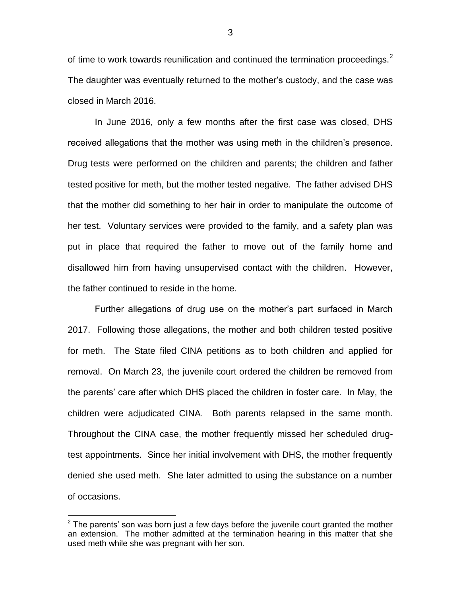of time to work towards reunification and continued the termination proceedings.<sup>2</sup> The daughter was eventually returned to the mother's custody, and the case was closed in March 2016.

In June 2016, only a few months after the first case was closed, DHS received allegations that the mother was using meth in the children's presence. Drug tests were performed on the children and parents; the children and father tested positive for meth, but the mother tested negative. The father advised DHS that the mother did something to her hair in order to manipulate the outcome of her test. Voluntary services were provided to the family, and a safety plan was put in place that required the father to move out of the family home and disallowed him from having unsupervised contact with the children. However, the father continued to reside in the home.

Further allegations of drug use on the mother's part surfaced in March 2017. Following those allegations, the mother and both children tested positive for meth. The State filed CINA petitions as to both children and applied for removal. On March 23, the juvenile court ordered the children be removed from the parents' care after which DHS placed the children in foster care. In May, the children were adjudicated CINA. Both parents relapsed in the same month. Throughout the CINA case, the mother frequently missed her scheduled drugtest appointments. Since her initial involvement with DHS, the mother frequently denied she used meth. She later admitted to using the substance on a number of occasions.

 $\overline{a}$ 

 $2$  The parents' son was born just a few days before the juvenile court granted the mother an extension. The mother admitted at the termination hearing in this matter that she used meth while she was pregnant with her son.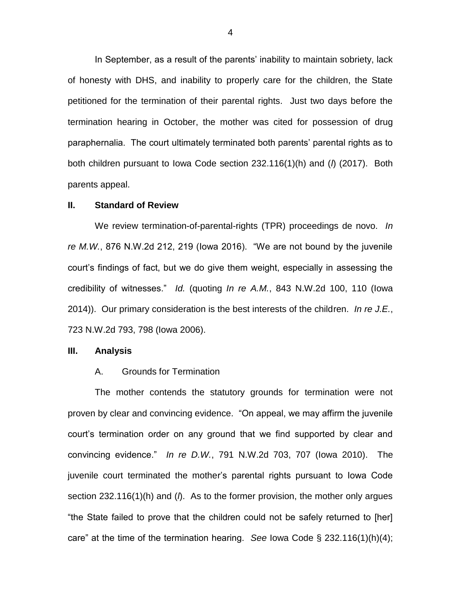In September, as a result of the parents' inability to maintain sobriety, lack of honesty with DHS, and inability to properly care for the children, the State petitioned for the termination of their parental rights. Just two days before the termination hearing in October, the mother was cited for possession of drug paraphernalia. The court ultimately terminated both parents' parental rights as to both children pursuant to Iowa Code section 232.116(1)(h) and (*l*) (2017). Both parents appeal.

#### **II. Standard of Review**

We review termination-of-parental-rights (TPR) proceedings de novo. *In re M.W.*, 876 N.W.2d 212, 219 (Iowa 2016). "We are not bound by the juvenile court's findings of fact, but we do give them weight, especially in assessing the credibility of witnesses." *Id.* (quoting *In re A.M.*, 843 N.W.2d 100, 110 (Iowa 2014)). Our primary consideration is the best interests of the children. *In re J.E.*, 723 N.W.2d 793, 798 (Iowa 2006).

#### **III. Analysis**

## A. Grounds for Termination

The mother contends the statutory grounds for termination were not proven by clear and convincing evidence. "On appeal, we may affirm the juvenile court's termination order on any ground that we find supported by clear and convincing evidence." *In re D.W.*, 791 N.W.2d 703, 707 (Iowa 2010). The juvenile court terminated the mother's parental rights pursuant to Iowa Code section 232.116(1)(h) and (*l*). As to the former provision, the mother only argues "the State failed to prove that the children could not be safely returned to [her] care" at the time of the termination hearing. *See* Iowa Code § 232.116(1)(h)(4);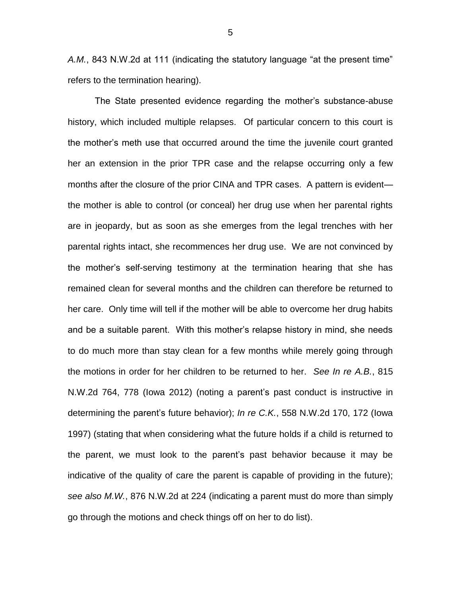*A.M.*, 843 N.W.2d at 111 (indicating the statutory language "at the present time" refers to the termination hearing).

The State presented evidence regarding the mother's substance-abuse history, which included multiple relapses. Of particular concern to this court is the mother's meth use that occurred around the time the juvenile court granted her an extension in the prior TPR case and the relapse occurring only a few months after the closure of the prior CINA and TPR cases. A pattern is evident the mother is able to control (or conceal) her drug use when her parental rights are in jeopardy, but as soon as she emerges from the legal trenches with her parental rights intact, she recommences her drug use. We are not convinced by the mother's self-serving testimony at the termination hearing that she has remained clean for several months and the children can therefore be returned to her care. Only time will tell if the mother will be able to overcome her drug habits and be a suitable parent. With this mother's relapse history in mind, she needs to do much more than stay clean for a few months while merely going through the motions in order for her children to be returned to her. *See In re A.B.*, 815 N.W.2d 764, 778 (Iowa 2012) (noting a parent's past conduct is instructive in determining the parent's future behavior); *In re C.K.*, 558 N.W.2d 170, 172 (Iowa 1997) (stating that when considering what the future holds if a child is returned to the parent, we must look to the parent's past behavior because it may be indicative of the quality of care the parent is capable of providing in the future); *see also M.W.*, 876 N.W.2d at 224 (indicating a parent must do more than simply go through the motions and check things off on her to do list).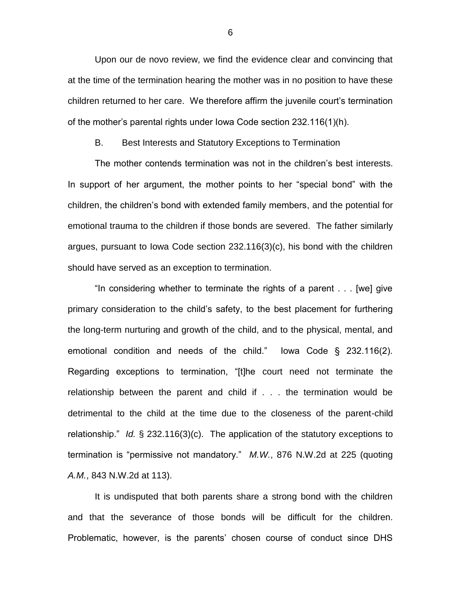Upon our de novo review, we find the evidence clear and convincing that at the time of the termination hearing the mother was in no position to have these children returned to her care. We therefore affirm the juvenile court's termination of the mother's parental rights under Iowa Code section 232.116(1)(h).

B. Best Interests and Statutory Exceptions to Termination

The mother contends termination was not in the children's best interests. In support of her argument, the mother points to her "special bond" with the children, the children's bond with extended family members, and the potential for emotional trauma to the children if those bonds are severed. The father similarly argues, pursuant to Iowa Code section 232.116(3)(c), his bond with the children should have served as an exception to termination.

"In considering whether to terminate the rights of a parent . . . [we] give primary consideration to the child's safety, to the best placement for furthering the long-term nurturing and growth of the child, and to the physical, mental, and emotional condition and needs of the child." Iowa Code § 232.116(2). Regarding exceptions to termination, "[t]he court need not terminate the relationship between the parent and child if . . . the termination would be detrimental to the child at the time due to the closeness of the parent-child relationship." *Id.* § 232.116(3)(c). The application of the statutory exceptions to termination is "permissive not mandatory." *M.W.*, 876 N.W.2d at 225 (quoting *A.M.*, 843 N.W.2d at 113).

It is undisputed that both parents share a strong bond with the children and that the severance of those bonds will be difficult for the children. Problematic, however, is the parents' chosen course of conduct since DHS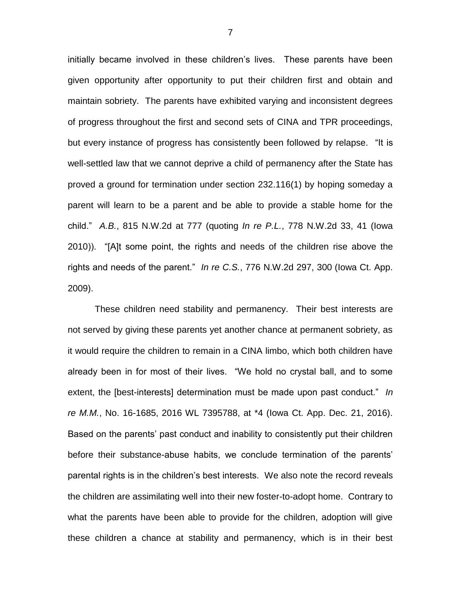initially became involved in these children's lives. These parents have been given opportunity after opportunity to put their children first and obtain and maintain sobriety. The parents have exhibited varying and inconsistent degrees of progress throughout the first and second sets of CINA and TPR proceedings, but every instance of progress has consistently been followed by relapse. "It is well-settled law that we cannot deprive a child of permanency after the State has proved a ground for termination under section 232.116(1) by hoping someday a parent will learn to be a parent and be able to provide a stable home for the child." *A.B.*, 815 N.W.2d at 777 (quoting *In re P.L.*, 778 N.W.2d 33, 41 (Iowa 2010)). "[A]t some point, the rights and needs of the children rise above the rights and needs of the parent." *In re C.S.*, 776 N.W.2d 297, 300 (Iowa Ct. App. 2009).

These children need stability and permanency. Their best interests are not served by giving these parents yet another chance at permanent sobriety, as it would require the children to remain in a CINA limbo, which both children have already been in for most of their lives. "We hold no crystal ball, and to some extent, the [best-interests] determination must be made upon past conduct." *In re M.M.*, No. 16-1685, 2016 WL 7395788, at \*4 (Iowa Ct. App. Dec. 21, 2016). Based on the parents' past conduct and inability to consistently put their children before their substance-abuse habits, we conclude termination of the parents' parental rights is in the children's best interests. We also note the record reveals the children are assimilating well into their new foster-to-adopt home. Contrary to what the parents have been able to provide for the children, adoption will give these children a chance at stability and permanency, which is in their best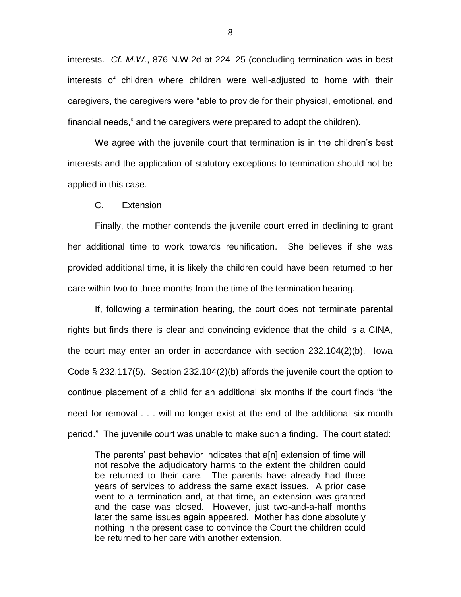interests. *Cf. M.W.*, 876 N.W.2d at 224–25 (concluding termination was in best interests of children where children were well-adjusted to home with their caregivers, the caregivers were "able to provide for their physical, emotional, and financial needs," and the caregivers were prepared to adopt the children).

We agree with the juvenile court that termination is in the children's best interests and the application of statutory exceptions to termination should not be applied in this case.

C. Extension

Finally, the mother contends the juvenile court erred in declining to grant her additional time to work towards reunification. She believes if she was provided additional time, it is likely the children could have been returned to her care within two to three months from the time of the termination hearing.

If, following a termination hearing, the court does not terminate parental rights but finds there is clear and convincing evidence that the child is a CINA, the court may enter an order in accordance with section 232.104(2)(b). Iowa Code § 232.117(5). Section 232.104(2)(b) affords the juvenile court the option to continue placement of a child for an additional six months if the court finds "the need for removal . . . will no longer exist at the end of the additional six-month period." The juvenile court was unable to make such a finding. The court stated:

The parents' past behavior indicates that a[n] extension of time will not resolve the adjudicatory harms to the extent the children could be returned to their care. The parents have already had three years of services to address the same exact issues. A prior case went to a termination and, at that time, an extension was granted and the case was closed. However, just two-and-a-half months later the same issues again appeared. Mother has done absolutely nothing in the present case to convince the Court the children could be returned to her care with another extension.